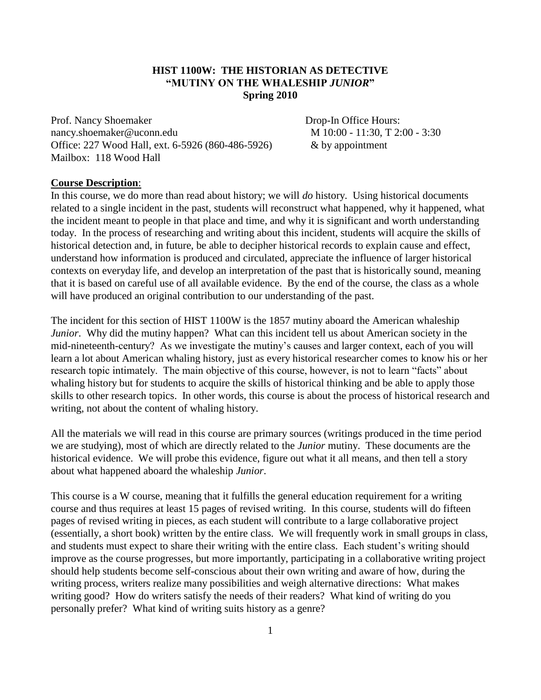## **HIST 1100W: THE HISTORIAN AS DETECTIVE "MUTINY ON THE WHALESHIP** *JUNIOR***" Spring 2010**

Prof. Nancy Shoemaker Drop-In Office Hours: [nancy.shoemaker@uconn.edu](mailto:nancy.shoemaker@uconn.edu) M 10:00 - 11:30, T 2:00 - 3:30 Office: 227 Wood Hall, ext. 6-5926 (860-486-5926) & by appointment Mailbox: 118 Wood Hall

#### **Course Description**:

In this course, we do more than read about history; we will *do* history. Using historical documents related to a single incident in the past, students will reconstruct what happened, why it happened, what the incident meant to people in that place and time, and why it is significant and worth understanding today. In the process of researching and writing about this incident, students will acquire the skills of historical detection and, in future, be able to decipher historical records to explain cause and effect, understand how information is produced and circulated, appreciate the influence of larger historical contexts on everyday life, and develop an interpretation of the past that is historically sound, meaning that it is based on careful use of all available evidence. By the end of the course, the class as a whole will have produced an original contribution to our understanding of the past.

The incident for this section of HIST 1100W is the 1857 mutiny aboard the American whaleship *Junior*. Why did the mutiny happen? What can this incident tell us about American society in the mid-nineteenth-century? As we investigate the mutiny's causes and larger context, each of you will learn a lot about American whaling history, just as every historical researcher comes to know his or her research topic intimately. The main objective of this course, however, is not to learn "facts" about whaling history but for students to acquire the skills of historical thinking and be able to apply those skills to other research topics. In other words, this course is about the process of historical research and writing, not about the content of whaling history.

All the materials we will read in this course are primary sources (writings produced in the time period we are studying), most of which are directly related to the *Junior* mutiny. These documents are the historical evidence. We will probe this evidence, figure out what it all means, and then tell a story about what happened aboard the whaleship *Junior*.

This course is a W course, meaning that it fulfills the general education requirement for a writing course and thus requires at least 15 pages of revised writing. In this course, students will do fifteen pages of revised writing in pieces, as each student will contribute to a large collaborative project (essentially, a short book) written by the entire class. We will frequently work in small groups in class, and students must expect to share their writing with the entire class. Each student's writing should improve as the course progresses, but more importantly, participating in a collaborative writing project should help students become self-conscious about their own writing and aware of how, during the writing process, writers realize many possibilities and weigh alternative directions: What makes writing good? How do writers satisfy the needs of their readers? What kind of writing do you personally prefer? What kind of writing suits history as a genre?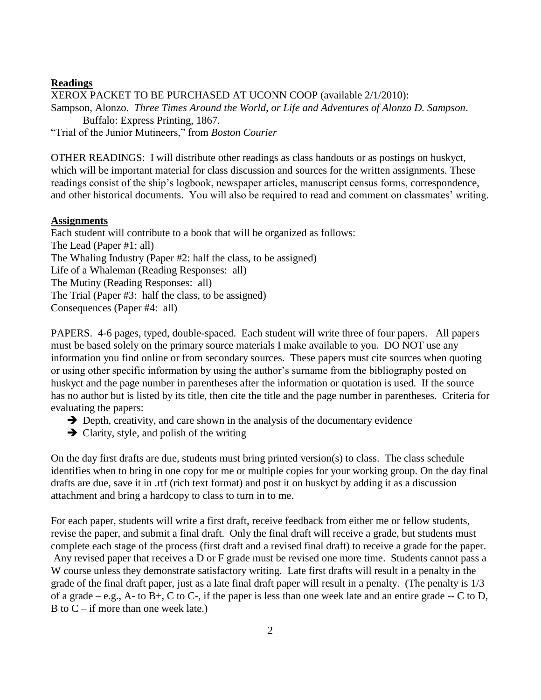## **Readings**

XEROX PACKET TO BE PURCHASED AT UCONN COOP (available 2/1/2010): Sampson, Alonzo. *Three Times Around the World, or Life and Adventures of Alonzo D. Sampson*. Buffalo: Express Printing, 1867. "Trial of the Junior Mutineers," from *Boston Courier*

OTHER READINGS: I will distribute other readings as class handouts or as postings on huskyct, which will be important material for class discussion and sources for the written assignments. These readings consist of the ship's logbook, newspaper articles, manuscript census forms, correspondence, and other historical documents. You will also be required to read and comment on classmates' writing.

## **Assignments**

Each student will contribute to a book that will be organized as follows: The Lead (Paper #1: all) The Whaling Industry (Paper #2: half the class, to be assigned) Life of a Whaleman (Reading Responses: all) The Mutiny (Reading Responses: all) The Trial (Paper #3: half the class, to be assigned) Consequences (Paper #4: all)

PAPERS. 4-6 pages, typed, double-spaced. Each student will write three of four papers. All papers must be based solely on the primary source materials I make available to you. DO NOT use any information you find online or from secondary sources. These papers must cite sources when quoting or using other specific information by using the author's surname from the bibliography posted on huskyct and the page number in parentheses after the information or quotation is used. If the source has no author but is listed by its title, then cite the title and the page number in parentheses. Criteria for evaluating the papers:

- $\rightarrow$  Depth, creativity, and care shown in the analysis of the documentary evidence
- $\rightarrow$  Clarity, style, and polish of the writing

On the day first drafts are due, students must bring printed version(s) to class. The class schedule identifies when to bring in one copy for me or multiple copies for your working group. On the day final drafts are due, save it in .rtf (rich text format) and post it on huskyct by adding it as a discussion attachment and bring a hardcopy to class to turn in to me.

For each paper, students will write a first draft, receive feedback from either me or fellow students, revise the paper, and submit a final draft. Only the final draft will receive a grade, but students must complete each stage of the process (first draft and a revised final draft) to receive a grade for the paper. Any revised paper that receives a D or F grade must be revised one more time. Students cannot pass a W course unless they demonstrate satisfactory writing. Late first drafts will result in a penalty in the grade of the final draft paper, just as a late final draft paper will result in a penalty. (The penalty is 1/3 of a grade – e.g., A- to  $B_{+}$ , C to C-, if the paper is less than one week late and an entire grade -- C to D, B to  $C - if$  more than one week late.)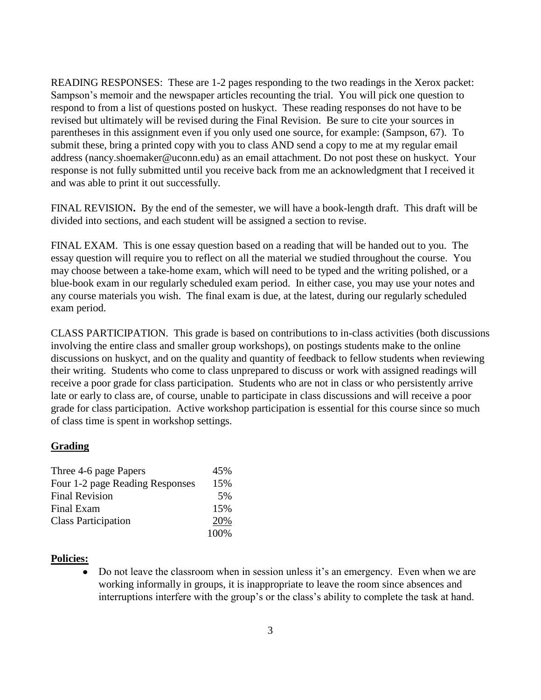READING RESPONSES: These are 1-2 pages responding to the two readings in the Xerox packet: Sampson's memoir and the newspaper articles recounting the trial. You will pick one question to respond to from a list of questions posted on huskyct. These reading responses do not have to be revised but ultimately will be revised during the Final Revision. Be sure to cite your sources in parentheses in this assignment even if you only used one source, for example: (Sampson, 67). To submit these, bring a printed copy with you to class AND send a copy to me at my regular email address (nancy.shoemaker@uconn.edu) as an email attachment. Do not post these on huskyct. Your response is not fully submitted until you receive back from me an acknowledgment that I received it and was able to print it out successfully.

FINAL REVISION**.** By the end of the semester, we will have a book-length draft. This draft will be divided into sections, and each student will be assigned a section to revise.

FINAL EXAM. This is one essay question based on a reading that will be handed out to you. The essay question will require you to reflect on all the material we studied throughout the course. You may choose between a take-home exam, which will need to be typed and the writing polished, or a blue-book exam in our regularly scheduled exam period. In either case, you may use your notes and any course materials you wish. The final exam is due, at the latest, during our regularly scheduled exam period.

CLASS PARTICIPATION.This grade is based on contributions to in-class activities (both discussions involving the entire class and smaller group workshops), on postings students make to the online discussions on huskyct, and on the quality and quantity of feedback to fellow students when reviewing their writing. Students who come to class unprepared to discuss or work with assigned readings will receive a poor grade for class participation. Students who are not in class or who persistently arrive late or early to class are, of course, unable to participate in class discussions and will receive a poor grade for class participation. Active workshop participation is essential for this course since so much of class time is spent in workshop settings.

#### **Grading**

| Three 4-6 page Papers           | 45%  |
|---------------------------------|------|
| Four 1-2 page Reading Responses | 15%  |
| <b>Final Revision</b>           | 5%   |
| Final Exam                      | 15%  |
| <b>Class Participation</b>      | 20%  |
|                                 | 100% |

#### **Policies:**

Do not leave the classroom when in session unless it's an emergency. Even when we are working informally in groups, it is inappropriate to leave the room since absences and interruptions interfere with the group's or the class's ability to complete the task at hand.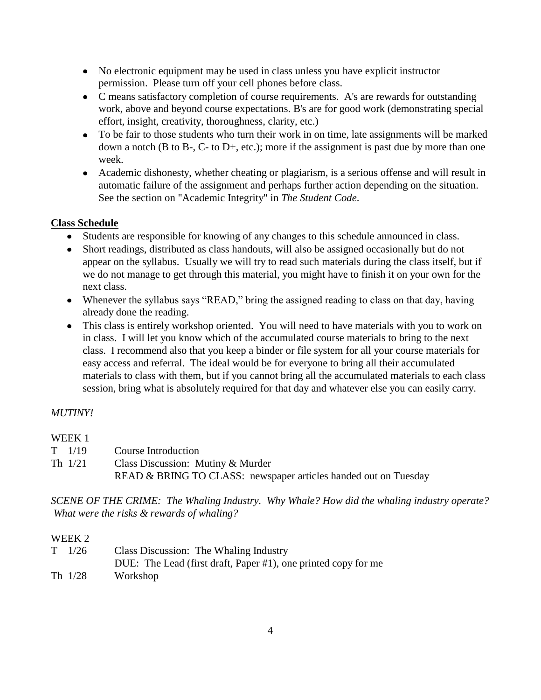- No electronic equipment may be used in class unless you have explicit instructor  $\bullet$ permission. Please turn off your cell phones before class.
- C means satisfactory completion of course requirements. A's are rewards for outstanding work, above and beyond course expectations. B's are for good work (demonstrating special effort, insight, creativity, thoroughness, clarity, etc.)
- To be fair to those students who turn their work in on time, late assignments will be marked  $\bullet$ down a notch (B to B-, C- to D+, etc.); more if the assignment is past due by more than one week.
- Academic dishonesty, whether cheating or plagiarism, is a serious offense and will result in automatic failure of the assignment and perhaps further action depending on the situation. See the section on "Academic Integrity" in *The Student Code*.

## **Class Schedule**

- Students are responsible for knowing of any changes to this schedule announced in class.
- Short readings, distributed as class handouts, will also be assigned occasionally but do not appear on the syllabus. Usually we will try to read such materials during the class itself, but if we do not manage to get through this material, you might have to finish it on your own for the next class.
- Whenever the syllabus says "READ," bring the assigned reading to class on that day, having already done the reading.
- This class is entirely workshop oriented. You will need to have materials with you to work on in class. I will let you know which of the accumulated course materials to bring to the next class. I recommend also that you keep a binder or file system for all your course materials for easy access and referral. The ideal would be for everyone to bring all their accumulated materials to class with them, but if you cannot bring all the accumulated materials to each class session, bring what is absolutely required for that day and whatever else you can easily carry.

## *MUTINY!*

## WEEK 1

T 1/19 Course Introduction Th 1/21 Class Discussion: Mutiny & Murder READ & BRING TO CLASS: newspaper articles handed out on Tuesday

*SCENE OF THE CRIME: The Whaling Industry. Why Whale? How did the whaling industry operate? What were the risks & rewards of whaling?*

## WEEK 2

| $T = 1/26$ | Class Discussion: The Whaling Industry                         |
|------------|----------------------------------------------------------------|
|            | DUE: The Lead (first draft, Paper #1), one printed copy for me |
| Th 1/28    | Workshop                                                       |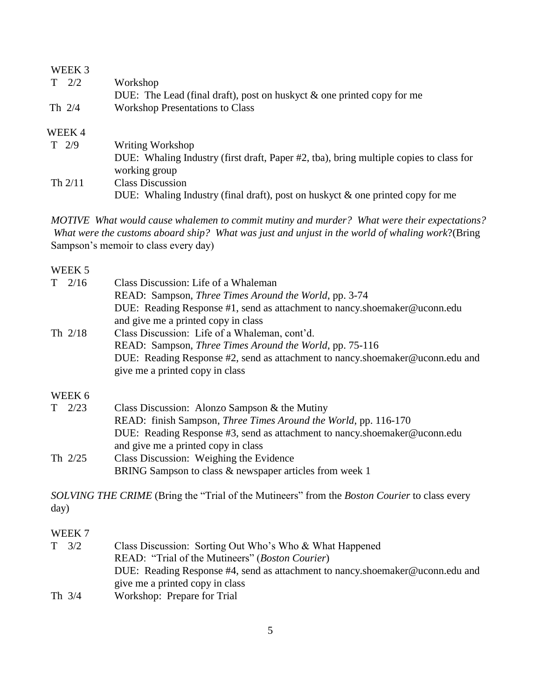| WEEK 3        |                                                                                        |
|---------------|----------------------------------------------------------------------------------------|
| 2/2           | Workshop                                                                               |
|               | DUE: The Lead (final draft), post on huskyct $\&$ one printed copy for me              |
| Th $2/4$      | <b>Workshop Presentations to Class</b>                                                 |
| WEEK 4        |                                                                                        |
| $T \quad 2/9$ | Writing Workshop                                                                       |
|               | DUE: Whaling Industry (first draft, Paper #2, tba), bring multiple copies to class for |
|               | working group                                                                          |
| Th $2/11$     | <b>Class Discussion</b>                                                                |
|               | DUE: Whaling Industry (final draft), post on huskyct $\&$ one printed copy for me      |

*MOTIVE What would cause whalemen to commit mutiny and murder? What were their expectations? What were the customs aboard ship? What was just and unjust in the world of whaling work*?(Bring Sampson's memoir to class every day)

## WEEK 5

| $T \quad 2/16$ | Class Discussion: Life of a Whaleman                                          |
|----------------|-------------------------------------------------------------------------------|
|                | READ: Sampson, <i>Three Times Around the World</i> , pp. 3-74                 |
|                | DUE: Reading Response #1, send as attachment to nancy.shoemaker@uconn.edu     |
|                | and give me a printed copy in class                                           |
| Th $2/18$      | Class Discussion: Life of a Whaleman, cont'd.                                 |
|                | READ: Sampson, <i>Three Times Around the World</i> , pp. 75-116               |
|                | DUE: Reading Response #2, send as attachment to nancy.shoemaker@uconn.edu and |
|                | give me a printed copy in class                                               |
| WEEK 6         |                                                                               |
| $T \quad 2/23$ | Class Discussion: Alonzo Sampson & the Mutiny                                 |
|                | READ: finish Sampson, <i>Three Times Around the World</i> , pp. 116-170       |
|                | DUE: Reading Response #3, send as attachment to nancy.shoemaker@uconn.edu     |
|                | and give me a printed copy in class                                           |
| Th $2/25$      | Class Discussion: Weighing the Evidence                                       |
|                | BRING Sampson to class & newspaper articles from week 1                       |
|                |                                                                               |

*SOLVING THE CRIME* (Bring the "Trial of the Mutineers" from the *Boston Courier* to class every day)

#### WEEK 7

| $T \quad 3/2$ | Class Discussion: Sorting Out Who's Who & What Happened |                                                                               |
|---------------|---------------------------------------------------------|-------------------------------------------------------------------------------|
|               |                                                         | READ: "Trial of the Mutineers" ( <i>Boston Courier</i> )                      |
|               |                                                         | DUE: Reading Response #4, send as attachment to nancy.shoemaker@uconn.edu and |
|               |                                                         | give me a printed copy in class                                               |
| Th $3/4$      |                                                         | Workshop: Prepare for Trial                                                   |